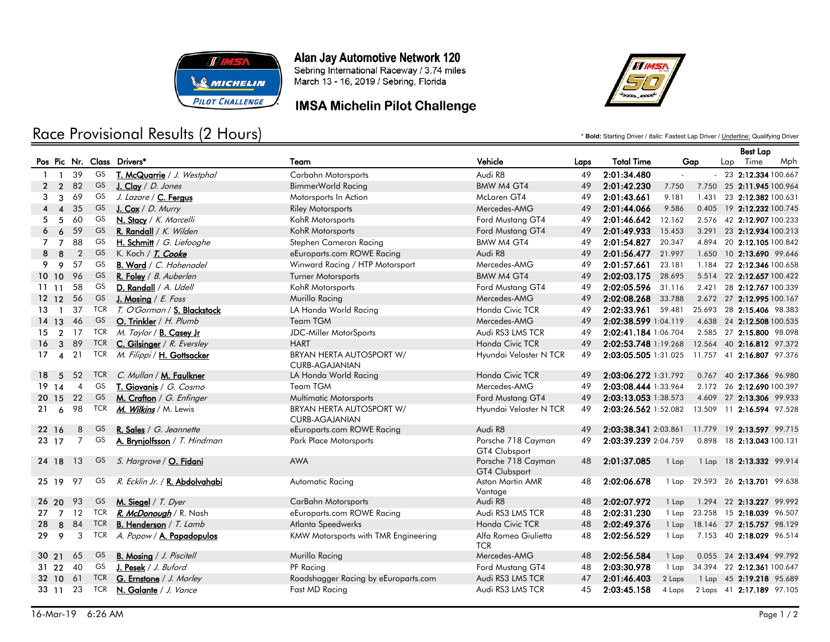

Race Provisional Results (2 Hours)

## Alan Jay Automotive Network 120

Sebring International Raceway / 3.74 miles March 13 - 16, 2019 / Sebring, Florida

## **IMSA Michelin Pilot Challenge**



\* **Bold:** Starting Driver / *Italic:* Fastest Lap Driver / Underline: Qualifying Driver

### Best Lap Pos Pic Nr. Class Drivers\* Team Vehicle Laps Total Time Gap Lap Time Mph 1 1 39 GS T. McQuarrie / J. Westphal Carbahn Motorsports Audi R8 49 2:01:34.480 - - 23 2:12.334 100.667 2 2 82 <sup>GS</sup> <u>J.Clay</u> / *D. Jones* BimmerWorld Racing BMW M4 GT4 49 2:01:42.230 7.750 7.750 25 2:11.945 100.964 3 3 69 GS *J. Lazare /* C. Fergus **Motorsports In Action McLaren GT4** 49 2:01:43.661 9.181 1.431 23 2:12.382 100.631 4 4 35 GS J. Cox / D. Murry Riley Motorsports Riley Motorsports Mercedes-AMG 49 2:01:44.066 9.586 0.405 19 2:12.232 100.745 5 5 60 GS N. Stacy / K. Marcelli KohR Motorsports Ford Mustang GT4 49 2:01:46.642 12.162 2.576 42 2:12.907 100.233 6 6 59 GS R. Randall / K. Wilden KohR Motorsports Ford Mustang GT4 49 2:01:49.933 15.453 3.291 23 2:12.934 100.213 7 7 88 GS H. Schmitt / G. Liefooghe Stephen Cameron Racing BMW M4 GT4 49 2:01:54.827 20.347 4.894 20 2:12.105 100.842 8 8 2 GS K. Koch / T. Cooke entering the Europarts.com ROWE Racing Audi R8 49 2:01:56.477 21.997 1.650 10 2:13.690 99.646 9 9 57 GS B. Ward / C. Hohenadel Minward Racing / HTP Motorsport Mercedes-AMG 49 2:01:57.661 23.181 1.184 22 2:12.346 100.658 10 10 96 <sup>GS</sup> R. Foley / *B. Auberlen* Turner Motorsports BMW M4 GT4 49 2:02:03.175 28.695 5.514 22 2:12.657 100.422 11 11 58 GS D. Randall / A. Udell KohR Motorsports Ford Mustang GT4 49 2:02:05.596 31.116 2.421 28 2:12.767 100.339 12 12 56 GS J. Mosing / E. Foss Murillo Racing Murillo Racing Mercedes-AMG 49 2:02:08.268 33.788 2.672 27 2:12.995 100.167 13 1 37 TCR T. O'Gorman / S. Blackstock LA Honda World Racing Honda Civic TCR 49 2:02:33.961 59.481 25.693 28 2:15.406 98.383 14 13 46 <sup>GS</sup> <u>0. Trinkler</u> / *H. Plumb* Team TGM TGM Mercedes-AMG 49 2:0**2:38.599** 1:04.119 4.638 24 **2:12.508** 100.535 15 2 17 TCR *M. Taylor* / B. Casey Jr **JDC-Miller MotorSports** Audi RS3 LMS TCR 49 2:02:41.184 1:06.704 2.585 27 2:15.800 98.098 16 3 89 TCR C. Gilsinger / R. Eversley HART Honda Civic TCR 49 2:02:53.748 1:19.268 12.564 40 2:16.812 97.372 17 4 21 <sup>TCR</sup> *M. Filippi* / <u>H**. Gottsacker** BRYAN HERTA AUTOSPORT W/ Hyundai Veloster N TCR 49 **2:03:05.505** 1:31.025 11.757 41 **2:16.807** 97.376</u> CURB-AGAJANIAN 18 5 52 TCR C. Mullan / M. Faulkner LA Honda World Racing Honda Civic TCR 49 2:03:06.272 1:31.792 0.767 40 2:17.366 96.980 19 14 4 GS **T. Giovanis** / G. Cosmo Team TGM TGM Mercedes-AMG 49 2:03:08.444 1:33.964 2.172 26 2:12.690 100.397 20 15 22 GS M. Crafton / G. Enfinger Multimatic Motorsports Ford Mustang GT4 49 2:03:13.053 1:38.573 4.609 27 2:13.306 99.933 21 6 98 TCR <u>*M. Wilkins /* M. Lewis BRYAN HERTA AUTOSPORT W/ Hyundai Veloster N TCR 49 **2:03:26.562** 1:52.082 13.509 11 **2:16.594** 97.528</u> CURB-AGAJANIAN 22 16 8 GS R. Sales / G. Jeannette entitled by the Europarts.com ROWE Racing Audi R8 49 2:03:38.341 2:03:38.341 2:03:861 11.779 19 2:13.597 99.715 7 A. Brynjolfsson / T. Hindman Porsche 718 Cayman 23 17 GS Park Place Motorsports 49 2:03:39.239 2:04.759 0.898 18 2:13.043 100.131 GT4 Clubsport 24 18 13 GS S. Hargrove / O. Fidani **Porsche 718 Cayman** AWA **Porsche 718 Cayman** GT4 Clubsport 48 2:01:37.085 1 Lap 1 Lap 18 2:13.332 99.914 97 R. Ecklin Jr. / R. Abdolvahabi Aston Martin AMR 25 19 GS Automatic Racing 48 2:02:06.678 1 Lap 29.593 26 2:13.701 99.638 Vantage 26 20 93 GS M. Siegel / T. Dyer CarBahn Motorsports Audi R8 48 2:02:07.972 1 Lap 1.294 22 2:13.227 99.992 27 7 12 TCR R. McDonough / R. Nash eEuroparts.com ROWE Racing Audi RS3 LMS TCR 48 2:02:31.230 1 Lap 23.258 15 2:18.039 96.507 28 8 84 TCR B. Henderson / T. Lamb Atlanta Speedwerks Honda Civic TCR 48 2:02:49.376 1 Lap 18.146 27 2:15.757 98.129 3 A. Popow / A. Papadopulos Alfa Romeo Giulietta 29 9 TCR KMW Motorsports with TMR Engineering 48 2:02:56.529 1 Lap 7.153 40 2:18.029 96.514 **TCR** 30 21 65 GS B. Mosing / J. Piscitell Murillo Racing Mercedes-AMG 48 2:02:56.584 1 Lap 0.055 24 2:13.494 99.792 31 22 40 GS J. Pesek / J. Buford PF Racing PF Racing Ford Mustang GT4 48 2:03:30.978 1 Lap 34.394 22 2:12.361 100.647 32 10 61 TCR G. Ernstone / J. Morley Roadshagger Racing by eEuroparts.com Audi RS3 LMS TCR 47 2:01:46.403 2 Laps 1 Lap 45 2:19.218 95.689 33 11 23 TCR N. Galante / J. Vance Fast MD Racing Communication Audi RS3 LMS TCR 45 2:03:45.158 4 Laps 2 Laps 41 2:17.189 97.105